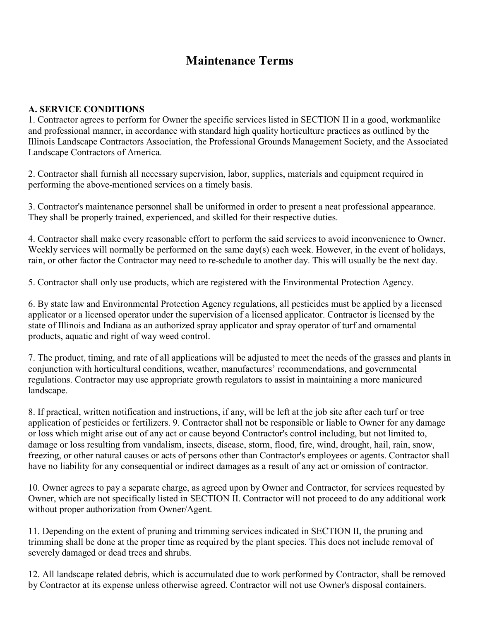## **Maintenance Terms**

## **A. SERVICE CONDITIONS**

1. Contractor agrees to perform for Owner the specific services listed in SECTION II in a good, workmanlike and professional manner, in accordance with standard high quality horticulture practices as outlined by the Illinois Landscape Contractors Association, the Professional Grounds Management Society, and the Associated Landscape Contractors of America.

2. Contractor shall furnish all necessary supervision, labor, supplies, materials and equipment required in performing the above-mentioned services on a timely basis.

3. Contractor's maintenance personnel shall be uniformed in order to present a neat professional appearance. They shall be properly trained, experienced, and skilled for their respective duties.

4. Contractor shall make every reasonable effort to perform the said services to avoid inconvenience to Owner. Weekly services will normally be performed on the same day(s) each week. However, in the event of holidays, rain, or other factor the Contractor may need to re-schedule to another day. This will usually be the next day.

5. Contractor shall only use products, which are registered with the Environmental Protection Agency.

6. By state law and Environmental Protection Agency regulations, all pesticides must be applied by a licensed applicator or a licensed operator under the supervision of a licensed applicator. Contractor is licensed by the state of Illinois and Indiana as an authorized spray applicator and spray operator of turf and ornamental products, aquatic and right of way weed control.

7. The product, timing, and rate of all applications will be adjusted to meet the needs of the grasses and plants in conjunction with horticultural conditions, weather, manufactures' recommendations, and governmental regulations. Contractor may use appropriate growth regulators to assist in maintaining a more manicured landscape.

8. If practical, written notification and instructions, if any, will be left at the job site after each turf or tree application of pesticides or fertilizers. 9. Contractor shall not be responsible or liable to Owner for any damage or loss which might arise out of any act or cause beyond Contractor's control including, but not limited to, damage or loss resulting from vandalism, insects, disease, storm, flood, fire, wind, drought, hail, rain, snow, freezing, or other natural causes or acts of persons other than Contractor's employees or agents. Contractor shall have no liability for any consequential or indirect damages as a result of any act or omission of contractor.

10. Owner agrees to pay a separate charge, as agreed upon by Owner and Contractor, for services requested by Owner, which are not specifically listed in SECTION II. Contractor will not proceed to do any additional work without proper authorization from Owner/Agent.

11. Depending on the extent of pruning and trimming services indicated in SECTION II, the pruning and trimming shall be done at the proper time as required by the plant species. This does not include removal of severely damaged or dead trees and shrubs.

12. All landscape related debris, which is accumulated due to work performed by Contractor, shall be removed by Contractor at its expense unless otherwise agreed. Contractor will not use Owner's disposal containers.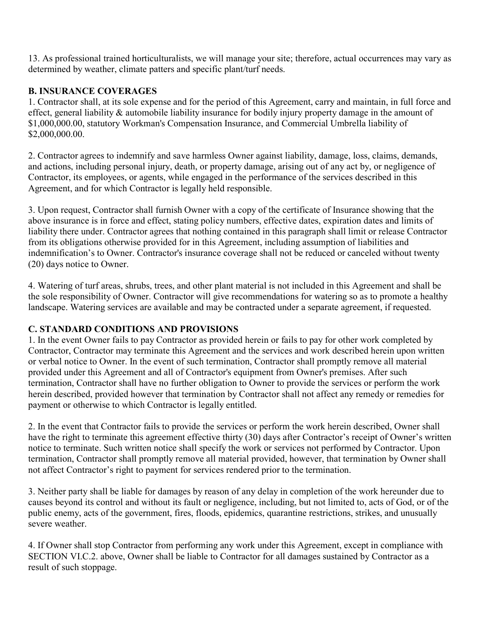13. As professional trained horticulturalists, we will manage your site; therefore, actual occurrences may vary as determined by weather, climate patters and specific plant/turf needs.

## **B. INSURANCE COVERAGES**

1. Contractor shall, at its sole expense and for the period of this Agreement, carry and maintain, in full force and effect, general liability & automobile liability insurance for bodily injury property damage in the amount of \$1,000,000.00, statutory Workman's Compensation Insurance, and Commercial Umbrella liability of \$2,000,000.00.

2. Contractor agrees to indemnify and save harmless Owner against liability, damage, loss, claims, demands, and actions, including personal injury, death, or property damage, arising out of any act by, or negligence of Contractor, its employees, or agents, while engaged in the performance of the services described in this Agreement, and for which Contractor is legally held responsible.

3. Upon request, Contractor shall furnish Owner with a copy of the certificate of Insurance showing that the above insurance is in force and effect, stating policy numbers, effective dates, expiration dates and limits of liability there under. Contractor agrees that nothing contained in this paragraph shall limit or release Contractor from its obligations otherwise provided for in this Agreement, including assumption of liabilities and indemnification's to Owner. Contractor's insurance coverage shall not be reduced or canceled without twenty (20) days notice to Owner.

4. Watering of turf areas, shrubs, trees, and other plant material is not included in this Agreement and shall be the sole responsibility of Owner. Contractor will give recommendations for watering so as to promote a healthy landscape. Watering services are available and may be contracted under a separate agreement, if requested.

## **C. STANDARD CONDITIONS AND PROVISIONS**

1. In the event Owner fails to pay Contractor as provided herein or fails to pay for other work completed by Contractor, Contractor may terminate this Agreement and the services and work described herein upon written or verbal notice to Owner. In the event of such termination, Contractor shall promptly remove all material provided under this Agreement and all of Contractor's equipment from Owner's premises. After such termination, Contractor shall have no further obligation to Owner to provide the services or perform the work herein described, provided however that termination by Contractor shall not affect any remedy or remedies for payment or otherwise to which Contractor is legally entitled.

2. In the event that Contractor fails to provide the services or perform the work herein described, Owner shall have the right to terminate this agreement effective thirty (30) days after Contractor's receipt of Owner's written notice to terminate. Such written notice shall specify the work or services not performed by Contractor. Upon termination, Contractor shall promptly remove all material provided, however, that termination by Owner shall not affect Contractor's right to payment for services rendered prior to the termination.

3. Neither party shall be liable for damages by reason of any delay in completion of the work hereunder due to causes beyond its control and without its fault or negligence, including, but not limited to, acts of God, or of the public enemy, acts of the government, fires, floods, epidemics, quarantine restrictions, strikes, and unusually severe weather.

4. If Owner shall stop Contractor from performing any work under this Agreement, except in compliance with SECTION VI.C.2. above, Owner shall be liable to Contractor for all damages sustained by Contractor as a result of such stoppage.